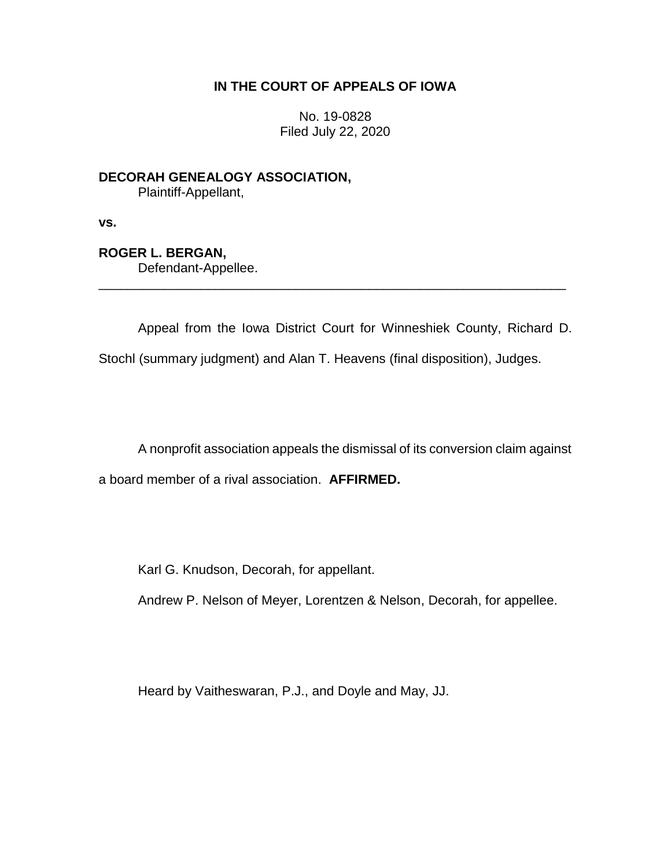# **IN THE COURT OF APPEALS OF IOWA**

No. 19-0828 Filed July 22, 2020

**DECORAH GENEALOGY ASSOCIATION,** Plaintiff-Appellant,

**vs.**

**ROGER L. BERGAN,**

Defendant-Appellee.

Appeal from the Iowa District Court for Winneshiek County, Richard D.

Stochl (summary judgment) and Alan T. Heavens (final disposition), Judges.

\_\_\_\_\_\_\_\_\_\_\_\_\_\_\_\_\_\_\_\_\_\_\_\_\_\_\_\_\_\_\_\_\_\_\_\_\_\_\_\_\_\_\_\_\_\_\_\_\_\_\_\_\_\_\_\_\_\_\_\_\_\_\_\_

A nonprofit association appeals the dismissal of its conversion claim against a board member of a rival association. **AFFIRMED.**

Karl G. Knudson, Decorah, for appellant.

Andrew P. Nelson of Meyer, Lorentzen & Nelson, Decorah, for appellee.

Heard by Vaitheswaran, P.J., and Doyle and May, JJ.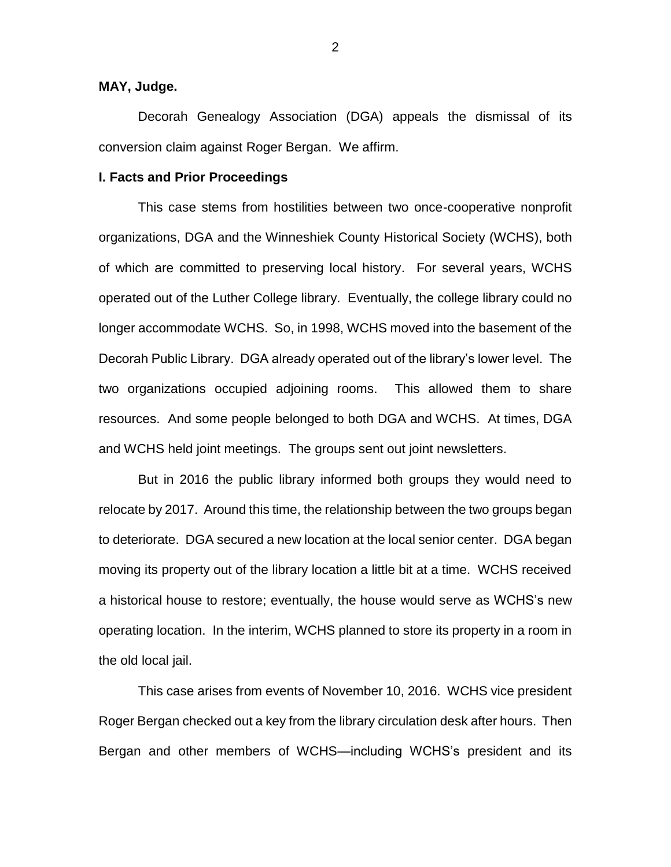### **MAY, Judge.**

Decorah Genealogy Association (DGA) appeals the dismissal of its conversion claim against Roger Bergan. We affirm.

#### **I. Facts and Prior Proceedings**

This case stems from hostilities between two once-cooperative nonprofit organizations, DGA and the Winneshiek County Historical Society (WCHS), both of which are committed to preserving local history. For several years, WCHS operated out of the Luther College library. Eventually, the college library could no longer accommodate WCHS. So, in 1998, WCHS moved into the basement of the Decorah Public Library. DGA already operated out of the library's lower level. The two organizations occupied adjoining rooms. This allowed them to share resources. And some people belonged to both DGA and WCHS. At times, DGA and WCHS held joint meetings. The groups sent out joint newsletters.

But in 2016 the public library informed both groups they would need to relocate by 2017. Around this time, the relationship between the two groups began to deteriorate. DGA secured a new location at the local senior center. DGA began moving its property out of the library location a little bit at a time. WCHS received a historical house to restore; eventually, the house would serve as WCHS's new operating location. In the interim, WCHS planned to store its property in a room in the old local jail.

This case arises from events of November 10, 2016. WCHS vice president Roger Bergan checked out a key from the library circulation desk after hours. Then Bergan and other members of WCHS—including WCHS's president and its

2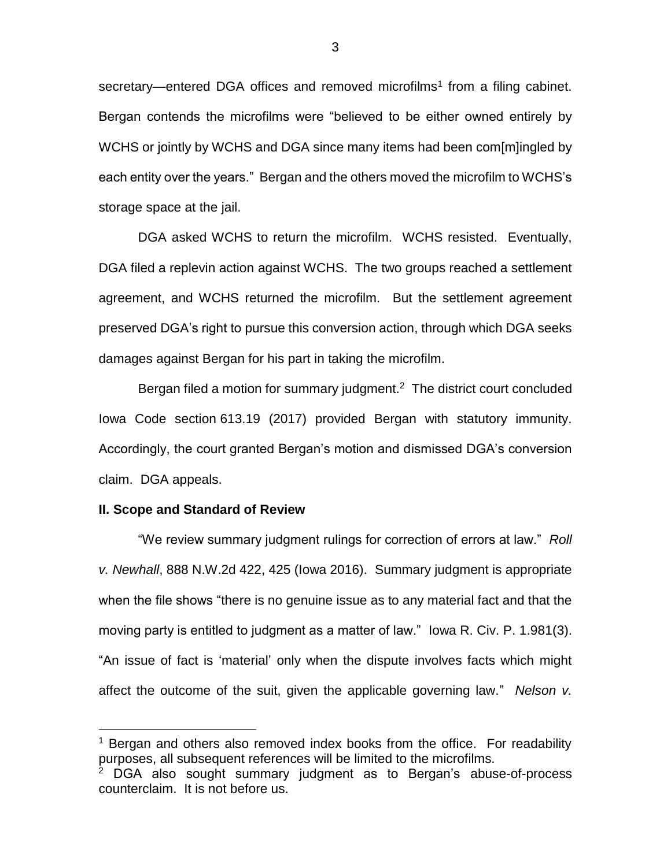secretary—entered DGA offices and removed microfilms<sup>1</sup> from a filing cabinet. Bergan contends the microfilms were "believed to be either owned entirely by WCHS or jointly by WCHS and DGA since many items had been com[m]ingled by each entity over the years." Bergan and the others moved the microfilm to WCHS's storage space at the jail.

DGA asked WCHS to return the microfilm. WCHS resisted. Eventually, DGA filed a replevin action against WCHS. The two groups reached a settlement agreement, and WCHS returned the microfilm. But the settlement agreement preserved DGA's right to pursue this conversion action, through which DGA seeks damages against Bergan for his part in taking the microfilm.

Bergan filed a motion for summary judgment. $2$  The district court concluded Iowa Code section 613.19 (2017) provided Bergan with statutory immunity. Accordingly, the court granted Bergan's motion and dismissed DGA's conversion claim. DGA appeals.

#### **II. Scope and Standard of Review**

 $\overline{a}$ 

"We review summary judgment rulings for correction of errors at law." *Roll v. Newhall*, 888 N.W.2d 422, 425 (Iowa 2016). Summary judgment is appropriate when the file shows "there is no genuine issue as to any material fact and that the moving party is entitled to judgment as a matter of law." Iowa R. Civ. P. 1.981(3). "An issue of fact is 'material' only when the dispute involves facts which might affect the outcome of the suit, given the applicable governing law." *Nelson v.* 

 $1$  Bergan and others also removed index books from the office. For readability purposes, all subsequent references will be limited to the microfilms.

 $2$  DGA also sought summary judgment as to Bergan's abuse-of-process counterclaim. It is not before us.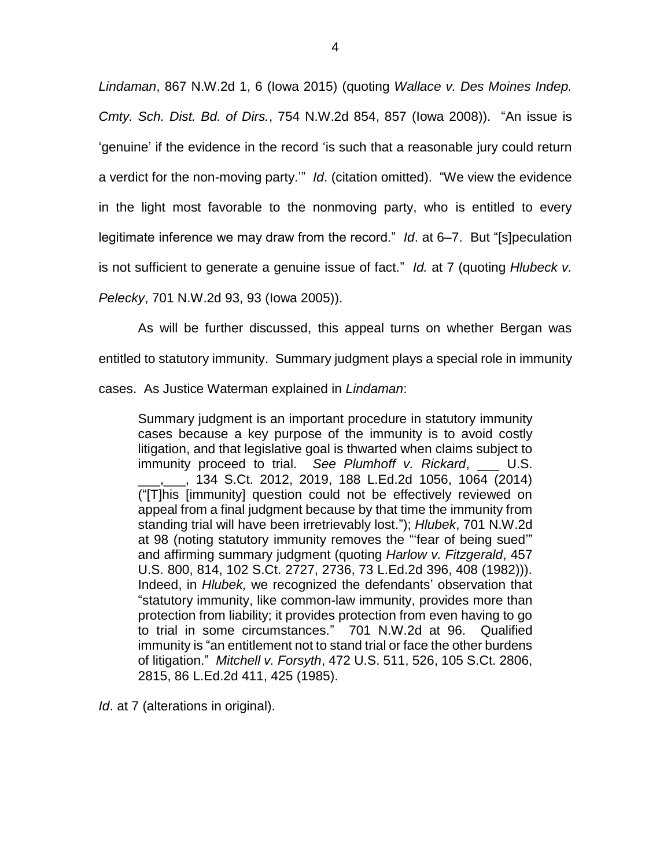*Lindaman*, 867 N.W.2d 1, 6 (Iowa 2015) (quoting *Wallace v. Des Moines Indep. Cmty. Sch. Dist. Bd. of Dirs.*, 754 N.W.2d 854, 857 (Iowa 2008)). "An issue is 'genuine' if the evidence in the record 'is such that a reasonable jury could return a verdict for the non-moving party.'" *Id*. (citation omitted). "We view the evidence in the light most favorable to the nonmoving party, who is entitled to every legitimate inference we may draw from the record." *Id*. at 6–7. But "[s]peculation is not sufficient to generate a genuine issue of fact." *Id.* at 7 (quoting *Hlubeck v. Pelecky*, 701 N.W.2d 93, 93 (Iowa 2005)).

As will be further discussed, this appeal turns on whether Bergan was entitled to statutory immunity. Summary judgment plays a special role in immunity cases. As Justice Waterman explained in *Lindaman*:

Summary judgment is an important procedure in statutory immunity cases because a key purpose of the immunity is to avoid costly litigation, and that legislative goal is thwarted when claims subject to immunity proceed to trial. *See Plumhoff v. Rickard*, U.S. \_\_\_,\_\_\_, 134 S.Ct. 2012, 2019, 188 L.Ed.2d 1056, 1064 (2014) ("[T]his [immunity] question could not be effectively reviewed on appeal from a final judgment because by that time the immunity from standing trial will have been irretrievably lost."); *Hlubek*, 701 N.W.2d at 98 (noting statutory immunity removes the "'fear of being sued'" and affirming summary judgment (quoting *Harlow v. Fitzgerald*, 457 U.S. 800, 814, 102 S.Ct. 2727, 2736, 73 L.Ed.2d 396, 408 (1982))). Indeed, in *Hlubek,* we recognized the defendants' observation that "statutory immunity, like common-law immunity, provides more than protection from liability; it provides protection from even having to go to trial in some circumstances." 701 N.W.2d at 96. Qualified immunity is "an entitlement not to stand trial or face the other burdens of litigation." *Mitchell v. Forsyth*, 472 U.S. 511, 526, 105 S.Ct. 2806, 2815, 86 L.Ed.2d 411, 425 (1985).

*Id.* at 7 (alterations in original).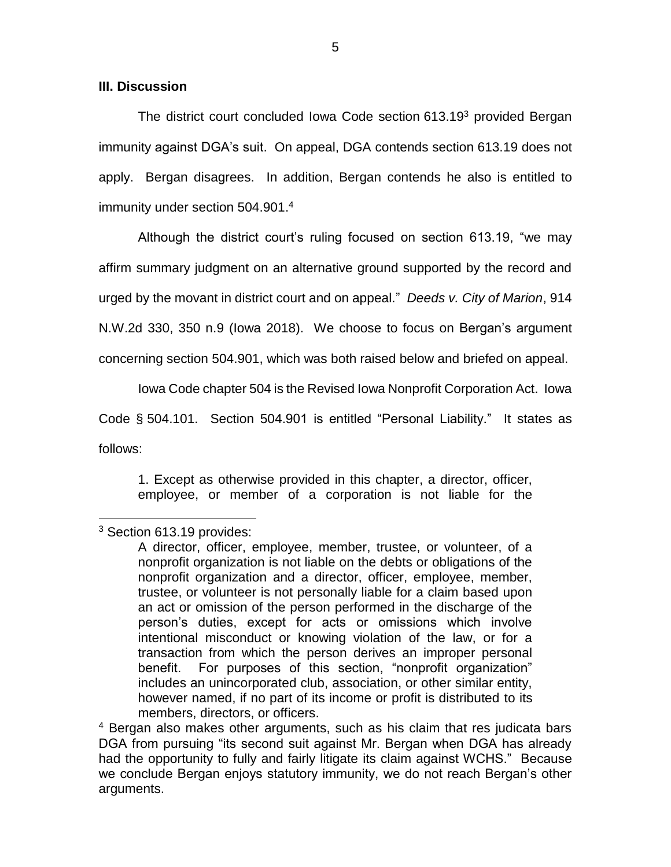## **III. Discussion**

The district court concluded Iowa Code section 613.19<sup>3</sup> provided Bergan immunity against DGA's suit. On appeal, DGA contends section 613.19 does not apply. Bergan disagrees. In addition, Bergan contends he also is entitled to immunity under section 504.901. 4

Although the district court's ruling focused on section 613.19, "we may affirm summary judgment on an alternative ground supported by the record and urged by the movant in district court and on appeal." *Deeds v. City of Marion*, 914 N.W.2d 330, 350 n.9 (Iowa 2018). We choose to focus on Bergan's argument

concerning section 504.901, which was both raised below and briefed on appeal.

Iowa Code chapter 504 is the Revised Iowa Nonprofit Corporation Act. Iowa

Code § 504.101. Section 504.901 is entitled "Personal Liability." It states as

follows:

 $\overline{a}$ 

1. Except as otherwise provided in this chapter, a director, officer, employee, or member of a corporation is not liable for the

<sup>&</sup>lt;sup>3</sup> Section 613.19 provides:

A director, officer, employee, member, trustee, or volunteer, of a nonprofit organization is not liable on the debts or obligations of the nonprofit organization and a director, officer, employee, member, trustee, or volunteer is not personally liable for a claim based upon an act or omission of the person performed in the discharge of the person's duties, except for acts or omissions which involve intentional misconduct or knowing violation of the law, or for a transaction from which the person derives an improper personal benefit. For purposes of this section, "nonprofit organization" includes an unincorporated club, association, or other similar entity, however named, if no part of its income or profit is distributed to its members, directors, or officers.

<sup>4</sup> Bergan also makes other arguments, such as his claim that res judicata bars DGA from pursuing "its second suit against Mr. Bergan when DGA has already had the opportunity to fully and fairly litigate its claim against WCHS." Because we conclude Bergan enjoys statutory immunity, we do not reach Bergan's other arguments.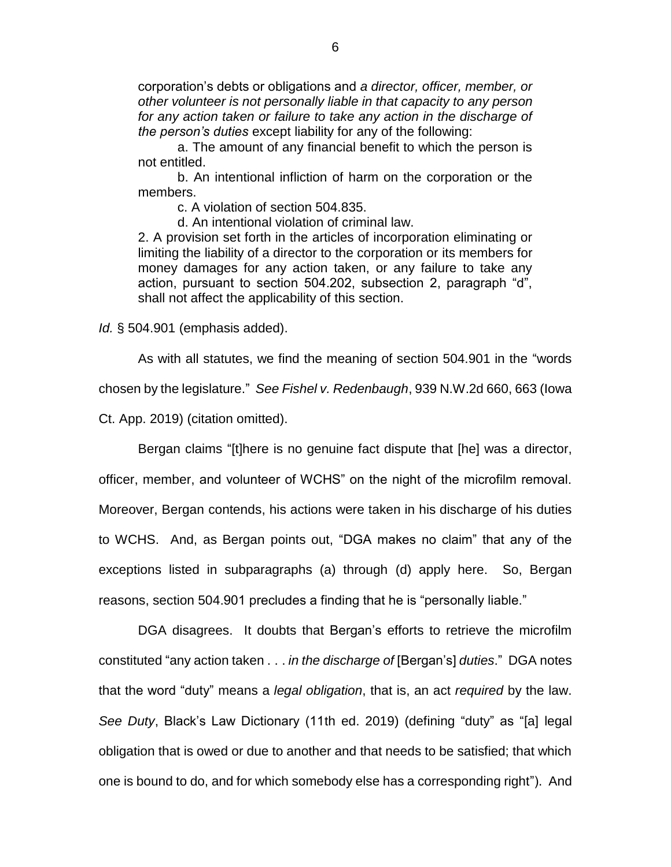corporation's debts or obligations and *a director, officer, member, or other volunteer is not personally liable in that capacity to any person for any action taken or failure to take any action in the discharge of the person's duties* except liability for any of the following:

a. The amount of any financial benefit to which the person is not entitled.

b. An intentional infliction of harm on the corporation or the members.

c. A violation of section 504.835.

d. An intentional violation of criminal law.

2. A provision set forth in the articles of incorporation eliminating or limiting the liability of a director to the corporation or its members for money damages for any action taken, or any failure to take any action, pursuant to section 504.202, subsection 2, paragraph "d", shall not affect the applicability of this section.

*Id.* § 504.901 (emphasis added).

As with all statutes, we find the meaning of section 504.901 in the "words chosen by the legislature." *See Fishel v. Redenbaugh*, 939 N.W.2d 660, 663 (Iowa Ct. App. 2019) (citation omitted).

Bergan claims "[t]here is no genuine fact dispute that [he] was a director, officer, member, and volunteer of WCHS" on the night of the microfilm removal. Moreover, Bergan contends, his actions were taken in his discharge of his duties to WCHS. And, as Bergan points out, "DGA makes no claim" that any of the exceptions listed in subparagraphs (a) through (d) apply here. So, Bergan reasons, section 504.901 precludes a finding that he is "personally liable."

DGA disagrees. It doubts that Bergan's efforts to retrieve the microfilm constituted "any action taken . . . *in the discharge of* [Bergan's] *duties*." DGA notes that the word "duty" means a *legal obligation*, that is, an act *required* by the law. *See Duty*, Black's Law Dictionary (11th ed. 2019) (defining "duty" as "[a] legal obligation that is owed or due to another and that needs to be satisfied; that which one is bound to do, and for which somebody else has a corresponding right"). And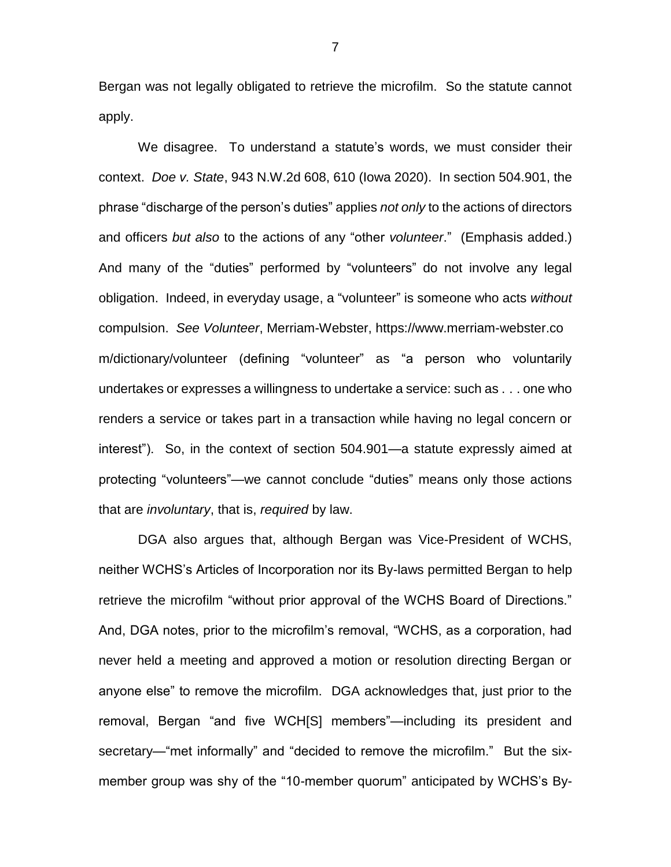Bergan was not legally obligated to retrieve the microfilm. So the statute cannot apply.

We disagree. To understand a statute's words, we must consider their context. *Doe v. State*, 943 N.W.2d 608, 610 (Iowa 2020). In section 504.901, the phrase "discharge of the person's duties" applies *not only* to the actions of directors and officers *but also* to the actions of any "other *volunteer*." (Emphasis added.) And many of the "duties" performed by "volunteers" do not involve any legal obligation. Indeed, in everyday usage, a "volunteer" is someone who acts *without* compulsion. *See Volunteer*, Merriam-Webster, https://www.merriam-webster.co m/dictionary/volunteer (defining "volunteer" as "a person who voluntarily undertakes or expresses a willingness to undertake a service: such as . . . one who renders a service or takes part in a transaction while having no legal concern or interest"). So, in the context of section 504.901—a statute expressly aimed at protecting "volunteers"—we cannot conclude "duties" means only those actions that are *involuntary*, that is, *required* by law.

DGA also argues that, although Bergan was Vice-President of WCHS, neither WCHS's Articles of Incorporation nor its By-laws permitted Bergan to help retrieve the microfilm "without prior approval of the WCHS Board of Directions." And, DGA notes, prior to the microfilm's removal, "WCHS, as a corporation, had never held a meeting and approved a motion or resolution directing Bergan or anyone else" to remove the microfilm. DGA acknowledges that, just prior to the removal, Bergan "and five WCH[S] members"—including its president and secretary—"met informally" and "decided to remove the microfilm." But the sixmember group was shy of the "10-member quorum" anticipated by WCHS's By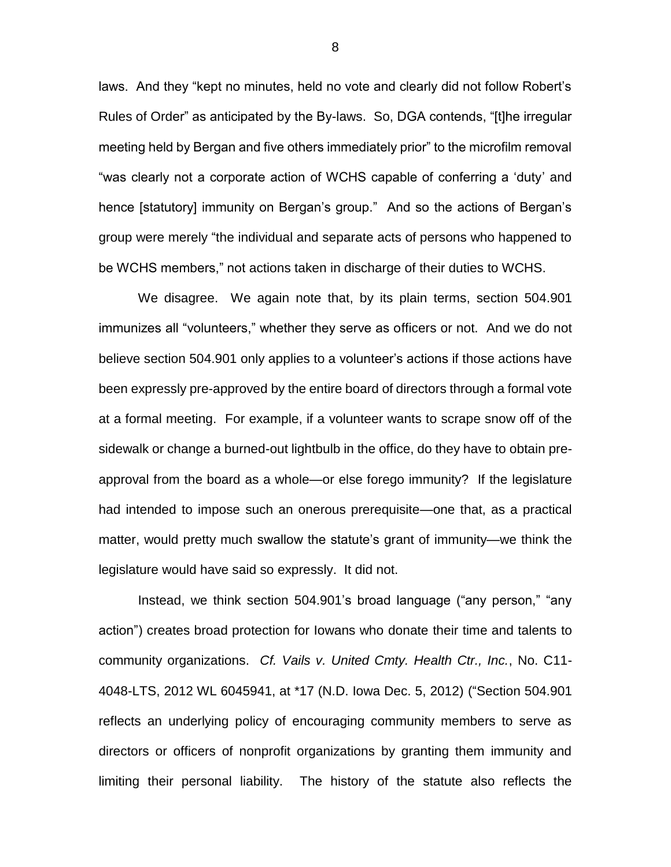laws. And they "kept no minutes, held no vote and clearly did not follow Robert's Rules of Order" as anticipated by the By-laws. So, DGA contends, "[t]he irregular meeting held by Bergan and five others immediately prior" to the microfilm removal "was clearly not a corporate action of WCHS capable of conferring a 'duty' and hence [statutory] immunity on Bergan's group." And so the actions of Bergan's group were merely "the individual and separate acts of persons who happened to be WCHS members," not actions taken in discharge of their duties to WCHS.

We disagree. We again note that, by its plain terms, section 504.901 immunizes all "volunteers," whether they serve as officers or not. And we do not believe section 504.901 only applies to a volunteer's actions if those actions have been expressly pre-approved by the entire board of directors through a formal vote at a formal meeting. For example, if a volunteer wants to scrape snow off of the sidewalk or change a burned-out lightbulb in the office, do they have to obtain preapproval from the board as a whole—or else forego immunity? If the legislature had intended to impose such an onerous prerequisite—one that, as a practical matter, would pretty much swallow the statute's grant of immunity—we think the legislature would have said so expressly. It did not.

Instead, we think section 504.901's broad language ("any person," "any action") creates broad protection for Iowans who donate their time and talents to community organizations. *Cf. Vails v. United Cmty. Health Ctr., Inc.*, No. C11- 4048-LTS, 2012 WL 6045941, at \*17 (N.D. Iowa Dec. 5, 2012) ("Section 504.901 reflects an underlying policy of encouraging community members to serve as directors or officers of nonprofit organizations by granting them immunity and limiting their personal liability. The history of the statute also reflects the

8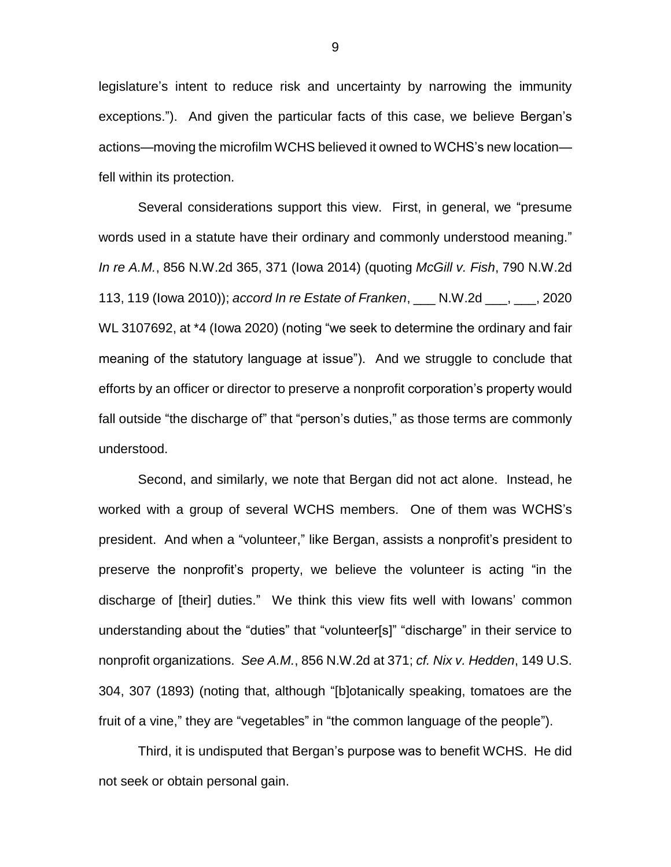legislature's intent to reduce risk and uncertainty by narrowing the immunity exceptions."). And given the particular facts of this case, we believe Bergan's actions—moving the microfilm WCHS believed it owned to WCHS's new location fell within its protection.

Several considerations support this view. First, in general, we "presume words used in a statute have their ordinary and commonly understood meaning." *In re A.M.*, 856 N.W.2d 365, 371 (Iowa 2014) (quoting *McGill v. Fish*, 790 N.W.2d 113, 119 (Iowa 2010)); *accord In re Estate of Franken*, \_\_\_ N.W.2d \_\_\_, \_\_\_, 2020 WL 3107692, at \*4 (Iowa 2020) (noting "we seek to determine the ordinary and fair meaning of the statutory language at issue"). And we struggle to conclude that efforts by an officer or director to preserve a nonprofit corporation's property would fall outside "the discharge of" that "person's duties," as those terms are commonly understood.

Second, and similarly, we note that Bergan did not act alone. Instead, he worked with a group of several WCHS members. One of them was WCHS's president. And when a "volunteer," like Bergan, assists a nonprofit's president to preserve the nonprofit's property, we believe the volunteer is acting "in the discharge of [their] duties." We think this view fits well with Iowans' common understanding about the "duties" that "volunteer[s]" "discharge" in their service to nonprofit organizations. *See A.M.*, 856 N.W.2d at 371; *cf. Nix v. Hedden*, 149 U.S. 304, 307 (1893) (noting that, although "[b]otanically speaking, tomatoes are the fruit of a vine," they are "vegetables" in "the common language of the people").

Third, it is undisputed that Bergan's purpose was to benefit WCHS. He did not seek or obtain personal gain.